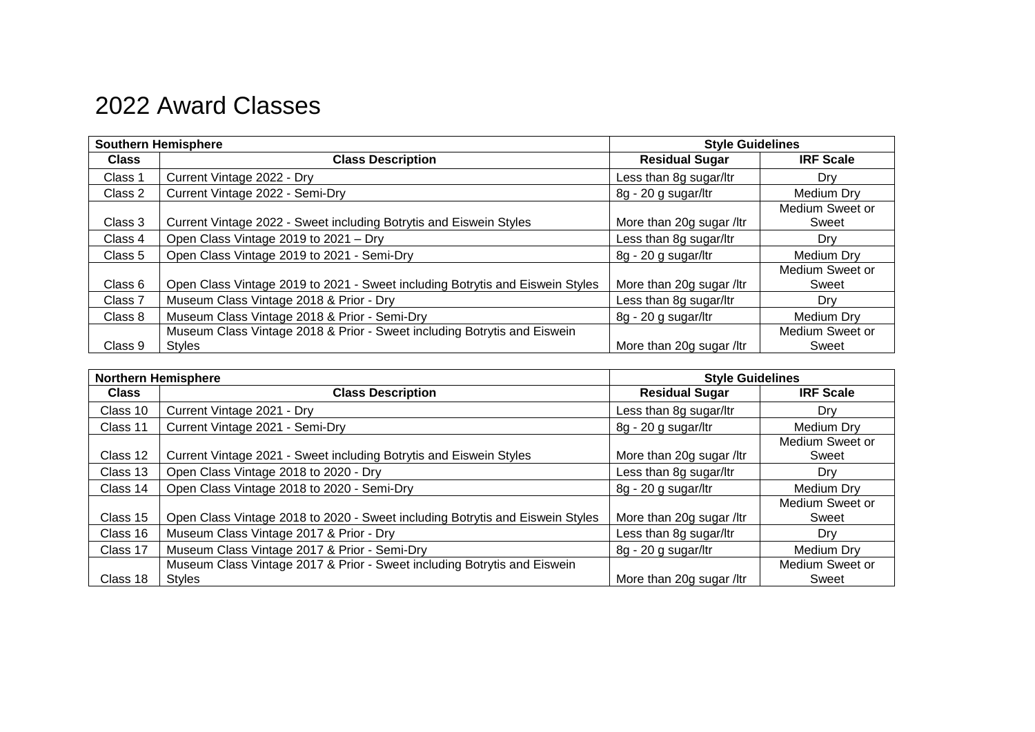## 2022 Award Classes

| <b>Southern Hemisphere</b> |                                                                                           | <b>Style Guidelines</b>  |                          |
|----------------------------|-------------------------------------------------------------------------------------------|--------------------------|--------------------------|
| <b>Class</b>               | <b>Class Description</b>                                                                  | <b>Residual Sugar</b>    | <b>IRF Scale</b>         |
| Class 1                    | Current Vintage 2022 - Dry                                                                | Less than 8g sugar/ltr   | Dry                      |
| Class 2                    | Current Vintage 2022 - Semi-Dry                                                           | 8g - 20 g sugar/ltr      | Medium Dry               |
| Class 3                    | Current Vintage 2022 - Sweet including Botrytis and Eiswein Styles                        | More than 20g sugar /ltr | Medium Sweet or<br>Sweet |
| Class 4                    | Open Class Vintage 2019 to 2021 - Dry                                                     | Less than 8g sugar/ltr   | Drv                      |
| Class 5                    | Open Class Vintage 2019 to 2021 - Semi-Dry                                                | 8g - 20 g sugar/ltr      | Medium Dry               |
| Class 6                    | Open Class Vintage 2019 to 2021 - Sweet including Botrytis and Eiswein Styles             | More than 20g sugar /ltr | Medium Sweet or<br>Sweet |
| Class 7                    | Museum Class Vintage 2018 & Prior - Dry                                                   | Less than 8g sugar/ltr   | Drv                      |
| Class 8                    | Museum Class Vintage 2018 & Prior - Semi-Dry                                              | 8g - 20 g sugar/ltr      | Medium Drv               |
| Class 9                    | Museum Class Vintage 2018 & Prior - Sweet including Botrytis and Eiswein<br><b>Styles</b> | More than 20g sugar /ltr | Medium Sweet or<br>Sweet |

| <b>Northern Hemisphere</b> |                                                                                           | <b>Style Guidelines</b>  |                          |
|----------------------------|-------------------------------------------------------------------------------------------|--------------------------|--------------------------|
| <b>Class</b>               | <b>Class Description</b>                                                                  | <b>Residual Sugar</b>    | <b>IRF Scale</b>         |
| Class 10                   | Current Vintage 2021 - Dry                                                                | Less than 8g sugar/ltr   | Drv                      |
| Class 11                   | Current Vintage 2021 - Semi-Dry                                                           | 8g - 20 g sugar/ltr      | Medium Dry               |
| Class 12                   | Current Vintage 2021 - Sweet including Botrytis and Eiswein Styles                        | More than 20g sugar /ltr | Medium Sweet or<br>Sweet |
| Class 13                   | Open Class Vintage 2018 to 2020 - Dry                                                     | Less than 8g sugar/ltr   | Drv                      |
| Class 14                   | Open Class Vintage 2018 to 2020 - Semi-Dry                                                | 8g - 20 g sugar/ltr      | Medium Dry               |
| Class 15                   | Open Class Vintage 2018 to 2020 - Sweet including Botrytis and Eiswein Styles             | More than 20g sugar /ltr | Medium Sweet or<br>Sweet |
| Class 16                   | Museum Class Vintage 2017 & Prior - Dry                                                   | Less than 8g sugar/ltr   | Drv                      |
| Class 17                   | Museum Class Vintage 2017 & Prior - Semi-Dry                                              | 8g - 20 g sugar/ltr      | Medium Dry               |
| Class 18                   | Museum Class Vintage 2017 & Prior - Sweet including Botrytis and Eiswein<br><b>Styles</b> | More than 20g sugar /ltr | Medium Sweet or<br>Sweet |